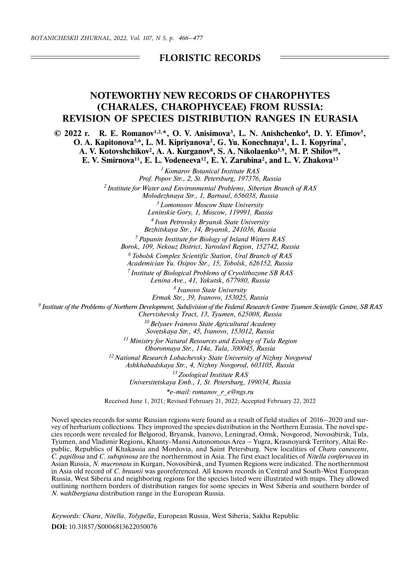## **FLORISTIC RECORDS**

## **NOTEWORTHY NEW RECORDS OF CHAROPHYTES (CHARALES, CHAROPHYCEAE) FROM RUSSIA: REVISION OF SPECIES DISTRIBUTION RANGES IN EURASIA**

**© 2022 г. R. E. Romanov1,2,\*, O. V. Anisimova3, L. N. Anishchenko4, D. Y. Efimov5, O. A. Kapitonova5,6, L. M. Kipriyanova2, G. Yu. Konechnaya1, L. I. Kopyrina7, A. V. Kotovshchikov2, A. A. Kurganov8, S. A. Nikolaenko5,9, M. P. Shilov10, E. V. Smirnova11, E. L. Vodeneeva12, E. Y. Zarubina2, and L. V. Zhakova13**

> *1 Komarov Botanical Institute RAS Prof. Popov Str., 2, St. Petersburg, 197376, Russia 2 Institute for Water and Environmental Problems, Siberian Branch of RAS Molodezhnaya Str., 1, Barnaul, 656038, Russia 3 Lomonosov Moscow State University*

*Leninskie Gory, 1, Moscow, 119991, Russia 4 Ivan Petrovsky Bryansk State University*

*Bezhitskaya Str., 14, Bryansk, 241036, Russia*

*5 Papanin Institute for Biology of Inland Waters RAS*

*Borok, 109, Nekouz District, Yaroslavl Region, 152742, Russia*

*6 Tobolsk Complex Scientific Station, Ural Branch of RAS Academician Yu. Osipov Str., 15, Tobolsk, 626152, Russia*

*7 Institute of Biological Problems of Cryolithozone SB RAS Lenina Ave., 41, Yakutsk, 677980, Russia*

> *8 Ivanovo State University Ermak Str., 39, Ivanovo, 153025, Russia*

*9 Institute of the Problems of Northern Development, Subdivision of the Federal Research Centre Tyumen Scientific Centre, SB RAS Chervishevsky Tract, 13, Tyumen, 625008, Russia*

> *10 Belyaev Ivanovo State Agricultural Academy Sovetskaya Str., 45, Ivanovo, 153012, Russia*

*11 Ministry for Natural Resources and Ecology of Tula Region Oboronnaya Str., 114a, Tula, 300045, Russia*

*12 National Research Lobachevsky State University of Nizhny Novgorod Ashkhabadskaya Str., 4, Nizhny Novgorod, 603105, Russia*

> *13 Zoological Institute RAS Universitetskaya Emb., 1, St. Petersburg, 199034, Russia*

> > *\*e-mail: romanov\_r\_e@ngs.ru*

Received June 1, 2021; Revised February 21, 2022; Accepted February 22, 2022

Novel species records for some Russian regions were found as a result of field studies of 2016–2020 and survey of herbarium collections. They improved the species distribution in the Northern Eurasia. The novel species records were revealed for Belgorod, Bryansk, Ivanovo, Leningrad, Omsk, Novgorod, Novosibirsk, Tula, Tyumen, and Vladimir Regions, Khanty-Mansi Autonomous Area – Yugra, Krasnoyarsk Territory, Altai Republic, Republics of Khakassia and Mordovia, and Saint Petersburg. New localities of *Chara canescens*, *C. papillosa* and *C. subspinosa* are the northernmost in Asia. The first exact localities of *Nitella confervacea* in Asian Russia, *N. mucronata* in Kurgan, Novosibirsk, and Tyumen Regions were indicated. The northernmost in Asia old record of *C. braunii* was georeferenced. All known records in Central and South-West European Russia, West Siberia and neighboring regions for the species listed were illustrated with maps. They allowed outlining northern borders of distribution ranges for some species in West Siberia and southern border of *N. wahlbergiana* distribution range in the European Russia.

*Keywords: Chara*, *Nitella*, *Tolypella*, European Russia, West Siberia, Sakha Republic **DOI:** 10.31857/S0006813622050076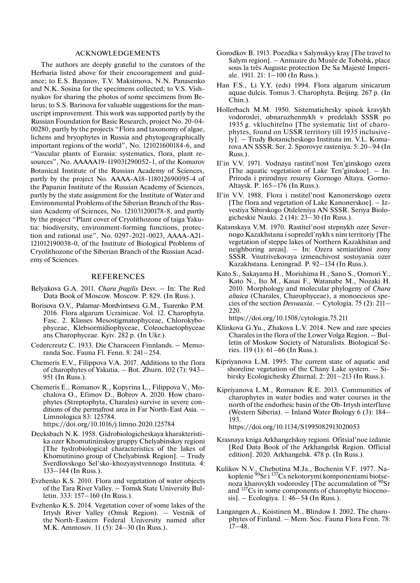## ACKNOWLEDGEMENTS

The authors are deeply grateful to the curators of the Herbaria listed above for their encouragement and guidance; to E.S. Bayanov, T.V. Maksimova, N.N. Panasenko and N.K. Sosina for the specimens collected; to V.S. Vishnyakov for sharing the photos of some specimens from Belarus; to S.S. Barinova for valuable suggestions for the manuscript improvement. This work was supported partly by the Russian Foundation for Basic Research, project No. 20-04- 00280, partly by the projects "Flora and taxonomy of algae, lichens and bryophytes in Russia and phytogeographically important regions of the world", No. 121021600184-6, and "Vascular plants of Eurasia: systematics, flora, plant resources", No. ААААА19-119031290052-1, of the Komarov Botanical Institute of the Russian Academy of Sciences, partly by the project No. АААА-А18-118012690095-4 of the Papanin Institute of the Russian Academy of Sciences, partly by the state assignment for the Institute of Water and Environmental Problems of the Siberian Branch of the Russian Academy of Sciences, No. 121031200178-8, and partly by the project "Plant cover of Cryolithozone of taiga Yakutia: biodiversity, environment-forming functions, protection and rational use", No. 0297-2021-0023, АААА-А21- 121012190038-0, of the Institute of Biological Problems of Cryolithozone of the Siberian Branch of the Russian Academy of Sciences.

## **REFERENCES**

- Belyakova G.A. 2011. *Chara fragilis* Desv. In: The Red Data Book of Moscow. Moscow. P. 829. (In Russ.).
- Borisova O.V., Palamar-Mordvintseva G.M., Tsarenko P.M. 2016. Flora algarum Ucrainicae. Vol. 12. Charophyta. Fasc. 2. Klasses Mesostigmatophyceae, Chlorokybophyceae, Klebsormidiophyceae, Coleochaetophyceae ans Charophyceae. Kyiv. 282 p. (In Ukr.).
- Cedercreutz C. 1933. Die Characeen Finnlands. Memoranda Soc. Fauna Fl. Fenn. 8: 241–254.
- Chemeris E.V., Filippova V.A. 2017. Additions to the flora of charophytes of Yakutia. – Bot. Zhurn. 102 (7): 943– 951 (In Russ.).
- Chemeris E., Romanov R., Kopyrina L., Filippova V., Mochalova O., Efimov D., Bobrov A. 2020. How charophytes (Streptophyta, Charales) survive in severe conditions of the permafrost area in Far North-East Asia. – Limnologica 83: 125784. https://doi.org/10.1016/j.limno.2020.125784
- Decksbach N.K. 1958. Gidrobiologicheskaya kharakteristika ozer Khomutininskoy gruppy Chelyabinskoy regioni [The hydrobiological characteristics of the lakes of Khomutinino group of Chelyabinsk Region]. – Trudy Sverdlovskogo Sel'sko-khozyaystvennogo Instituta. 4: 133–144 (In Russ.).
- Evzhenko K.S. 2010. Flora and vegetation of water objects of the Tara River Valley. – Tomsk State University Bulletin. 333: 157–160 (In Russ.).
- Evzhenko K.S. 2014. Vegetation cover of some lakes of the Irtysh River Valley (Omsk Region). – Vestnik of the North-Eastern Federal University named after M.K. Ammosov. 11 (5): 24–30 (In Russ.).
- Gorodkov B. 1913. Poezdka v Salymskyy kray [The travel to Salym region]. – Annuaire du Musée de Tobolsk, place sous la très Auguste protection De Sa Majesté Imperiale. 1911. 21: 1–100 (In Russ.).
- Han F.S., Li Y.Y. (eds) 1994. Flora algarum sinicarum aquae dulcis. Tomus 3. Charophyta. Beijing. 267 p. (In Chin.).
- Hollerbach M.M. 1950. Sistematichesky spisok kravykh vodoroslei, obnaruzhennykh v predelakh SSSR po 1935 g. vkluchitelno [The systematic list of charophytes, found on USSR territory till 1935 inclusively]. – Trudy Botanicheskogo Instituta im. V.L. Komarova AN SSSR. Ser. 2. Sporovye rasteniya. 5: 20–94 (In Russ.).
- Il'in V.V. 1971. Vodnaya rastitel'nost Ten'ginskogo ozera [The aquatic vegetation of Lake Ten'ginskoe]. – In: Priroda i prirodnye resursy Gornogo Altaya. Gorno-Altaysk. P. 165–176 (In Russ.).
- Il'in V.V. 1988. Flora i rastitel'nost Kanonerskogo ozera [The flora and vegetation of Lake Kanonerskoe]. – Izvestiya Sibirskogo Otdeleniya AN SSSR. Seriya Biologicheskie Nauki. 2 (14): 23–30 (In Russ.).
- Katanskaya V.M. 1970. Rastitel'nost stepnykh ozer Severnogo Kazakhstana i sopredel'nykh s nim territoriy [The vegetation of steppe lakes of Northern Kazakhstan and neighboring areas]. – In: Ozera semiaridnoi zony SSSR. Vnutrivekovaya izmenchivost sostoyania ozer Kazakhstana. Leningrad. P. 92–134 (In Russ.).
- Kato S., Sakayama H., Morishima H., Sano S., Oomori Y., Kato N., Ito M., Kasai F., Watanabe M., Nozaki H. 2010. Morphology and molecular phylogeny of *Chara altaica* (Charales, Charophyceae), a monoecious species of the section *Desvauxia*. – Cytologia. 75 (2): 211– 220.

https://doi.org/10.1508/cytologia.75.211

- Klinkova G.Yu., Zhakova L.V. 2014. New and rare species Charales in the flora of the Lower Volga Region. – Bulletin of Moskow Society of Naturalists. Biological Series. 119 (1): 61–66 (In Russ.).
- Kipriyanova L.M. 1995. The current state of aquatic and shoreline vegetation of the Chany Lake system. – Sibirsky Ecologichesky Zhurnal. 2: 201–213 (In Russ.).
- Kipriyanova L.M., Romanov R.E. 2013. Communities of charophytes in water bodies and water courses in the north of the endorheic basin of the Ob-Irtysh interfluve (Western Siberia). – Inland Water Biology 6 (3): 184– 193.

https://doi.org/10.1134/S1995082913020053

- Krasnaya kniga Arkhangelskoy regioni. Ofitsial'noe izdanie [Red Data Book of the Arkhangelsk Region. Official edition]. 2020. Arkhangelsk. 478 p. (In Russ.).
- Kulikov N.V., Chebotina M.Ja., Bochenin V.F. 1977. Nakoplenie  $90$ Sr i  $137$ Cs nekotorymi komponentami biotsenoza kharovykh vodorosley [The accumulation of <sup>90</sup>Sr and <sup>137</sup>Cs in some components of charophyte biocenosis]. – Ecologiya. 1: 46–54 (In Russ.).
- Langangen A., Koistinen M., Blindow I. 2002. The charophytes of Finland. – Mem. Soc. Fauna Flora Fenn. 78: 17–48.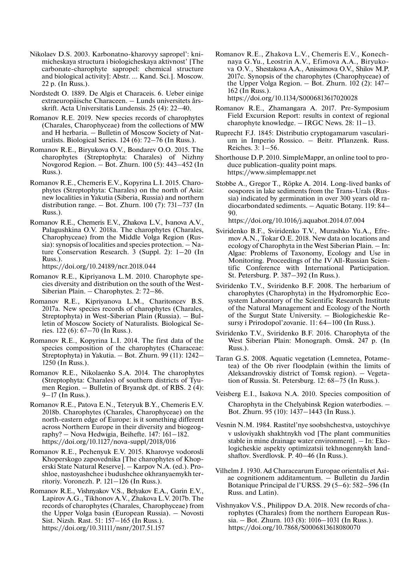- Nikolaev D.S. 2003. Karbonatno-kharovyy sapropel': knimicheskaya structura i biologicheskaya aktivnost' [The carbonate-charophyte sapropel: chemical structure and biological activity]: Abstr. … Kand. Sci.]. Moscow. 22 p. (In Russ.).
- Nordstedt O. 1889. De Algis et Characeis. 6. Ueber einige extraeuropäische Characeen. – Lunds universitets årsskrift. Acta Universitatis Lundensis. 25 (4): 22–40.
- Romanov R.E. 2019. New species records of charophytes (Charales, Charophyceae) from the collections of MW and H herbaria. – Bulletin of Moscow Society of Naturalists. Biological Series. 124 (6): 72–76 (In Russ.).
- Romanov R.E., Biryukova O.V., Bondarev O.O. 2015. The charophytes (Streptophyta: Charales) of Nizhny Novgorod Region. – Bot. Zhurn. 100 (5): 443–452 (In Russ.).
- Romanov R.E., Chemeris E.V., Kopyrina L.I. 2015. Charophytes (Streptophyta: Charales) on the north of Asia: new localities in Yakutia (Siberia, Russia) and northern distribution range.  $-$  Bot. Zhurn. 100 (7): 731–737 (In Russ.).
- Romanov R.E., Chemeris E.V., Zhakova L.V., Ivanova A.V., Palagushkina O.V. 2018a. The charophytes (Charales, Charophyceae) from the Middle Volga Region (Russia): synopsis of localities and species protection. – Nature Conservation Research. 3 (Suppl. 2): 1–20 (In Russ.).

https://doi.org/10.24189/ncr.2018.044

- Romanov R.E., Kipriyanova L.M. 2010. Charophyte species diversity and distribution on the south of the West-Siberian Plain. – Charophytes. 2: 72–86.
- Romanov R.E., Kipriyanova L.M., Charitoncev B.S. 2017a. New species records of charophytes (Charales, Streptophyta) in West-Siberian Plain (Russia). – Bulletin of Moscow Society of Naturalists. Biological Series. 122 (6): 67–70 (In Russ.).
- Romanov R.E., Kopyrina L.I. 2014. The first data of the species composition of the charophytes (Characeae: Streptophyta) in Yakutia. – Bot. Zhurn. 99 (11): 1242– 1250 (In Russ.).
- Romanov R.E., Nikolaenko S.A. 2014. The charophytes (Streptophyta: Charales) of southern districts of Tyumen Region. – Bulletin of Bryansk dpt. of RBS. 2 (4): 9–17 (In Russ.).
- Romanov R.E., Patova E.N., Teteryuk B.Y., Chemeris E.V. 2018b. Charophytes (Charales, Charophyceae) on the north-eastern edge of Europe: is it something different across Northern Europe in their diversity and biogeography? – Nova Hedwigia, Beihefte. 147: 161–182. https://doi.org/10.1127/nova-suppl/2018/016
- Romanov R.E., Pechenyuk E.V. 2015. Kharovye vodorosli Khoperskogo zapovednika [The charophytes of Khoperski State Natural Reserve]. – Karpov N.A. (ed.). Proshloe, nastoyashchee i budushchee okhranyaemykh territoriy. Voronezh. P. 121–126 (In Russ.).
- Romanov R.E., Vishnyakov V.S., Belyakov E.A., Garin E.V., Lapirov A.G., Tikhonov A.V., Zhakova L.V. 2017b. The records of charophytes (Charales, Charophyceae) from the Upper Volga basin (European Russia). – Novosti Sist. Nizsh. Rast. 51: 157–165 (In Russ.). https://doi.org/10.31111/nsnr/2017.51.157

Romanov R.E., Zhakova L.V., Chemeris E.V., Konechnaya G.Yu., Leostrin A.V., Efimova A.A., Biryukova O.V., Shestakova A.A., Anissimova O.V., Shilov M.P. 2017c. Synopsis of the charophytes (Charophyceae) of the Upper Volga Region. – Bot. Zhurn. 102 (2): 147– 162 (In Russ.).

https://doi.org/10.1134/S0006813617020028

- Romanov R.E., Zhamangara A. 2017. Pre-Symposium Field Excursion Report: results in context of regional charophyte knowledge. – IRGC News. 28: 11–13.
- Ruprecht F.J. 1845: Distributio cryptogamarum vascularium in Imperio Rossico. – Beitr. Pflanzenk. Russ. Reiches. 3: 1–56.
- Shorthouse D.P. 2010. SimpleMappr, an online tool to produce publication-quality point maps. https://www.simplemappr.net
- Stobbe A., Gregor T., Röpke A. 2014. Long-lived banks of oospores in lake sediments from the Trans-Urals (Russia) indicated by germination in over 300 years old radiocarbondated sediments. – Aquatic Botany. 119: 84– 90.

https://doi.org/10.1016/j.aquabot.2014.07.004

- Sviridenko B.F., Sviridenko T.V., Murashko Yu.A., Efremov A.N., Tokar O.E. 2018. New data on locations and ecology of Charophyta in the West Siberian Plain. – In: Algae: Problems of Taxonomy, Ecology and Use in Monitoring. Proceedings of the IV All-Russian Scientific Conference with International Participation. St. Petersburg. P. 387–392 (In Russ.).
- Sviridenko T.V., Sviridenko B.F. 2008. The herbarium of charophytes (Charophyta) in the Hydromorphic Ecosystem Laboratory of the Scientific Research Institute of the Natural Management and Ecology of the North of the Surgut State University. – Biologicheskie Resursy i Prirodopol'zovanie. 11: 64–100 (In Russ.).
- Sviridenko T.V., Sviridenko B.F. 2016. Charophyta of the West Siberian Plain: Monograph. Omsk. 247 p. (In Russ.).
- Taran G.S. 2008. Aquatic vegetation (Lemnetea, Potametea) of the Ob river floodplain (within the limits of Aleksandrovskiy district of Tomsk region). – Vegetation of Russia. St. Petersburg. 12: 68–75 (In Russ.).
- Veisberg E.I., Isakova N.A. 2010. Species composition of Charophyta in the Chelyabinsk Region waterbodies. – Bot. Zhurn. 95 (10): 1437–1443 (In Russ.).
- Vesnin N.M. 1984. Rastitel'nye soobshchestva, ustoychivye v usloviyakh shakhtnykh vod [The plant communities stable in mine drainage water environment]. – In: Ekologicheskie aspekty optimizatsii tekhnogennykh landshaftov. Sverdlovsk. P. 40–46 (In Russ.).
- Vilhelm J. 1930. Ad Characearum Europae orientalis et Asiae cognitionem additamentum. – Bulletin du Jardin Botanique Principal de l'URSS. 29 (5–6): 582–596 (In Russ. and Latin).
- Vishnyakov V.S., Philippov D.A. 2018. New records of charophytes (Charales) from the northern European Russia. – Bot. Zhurn. 103 (8): 1016–1031 (In Russ.). https://doi.org/10.7868/S0006813618080070